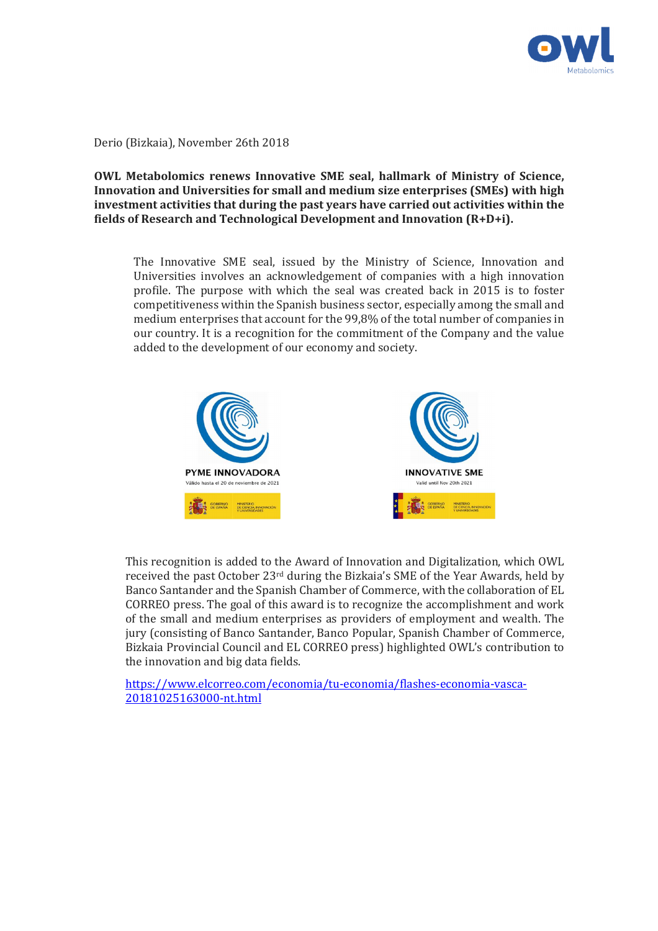

Derio (Bizkaia), November 26th 2018

## **OWL Metabolomics renews Innovative SME seal, hallmark of Ministry of Science, Innovation and Universities for small and medium size enterprises (SMEs) with high investment activities that during the past years have carried out activities within the fields of Research and Technological Development and Innovation (R+D+i).**

The Innovative SME seal, issued by the Ministry of Science, Innovation and Universities involves an acknowledgement of companies with a high innovation profile. The purpose with which the seal was created back in 2015 is to foster competitiveness within the Spanish business sector, especially among the small and medium enterprises that account for the 99,8% of the total number of companies in our country. It is a recognition for the commitment of the Company and the value added to the development of our economy and society.



This recognition is added to the Award of Innovation and Digitalization, which OWL received the past October 23rd during the Bizkaia's SME of the Year Awards, held by Banco Santander and the Spanish Chamber of Commerce, with the collaboration of EL CORREO press. The goal of this award is to recognize the accomplishment and work of the small and medium enterprises as providers of employment and wealth. The jury (consisting of Banco Santander, Banco Popular, Spanish Chamber of Commerce, Bizkaia Provincial Council and EL CORREO press) highlighted OWL's contribution to the innovation and big data fields.

https://www.elcorreo.com/economia/tu-economia/flashes-economia-vasca-20181025163000-nt.html